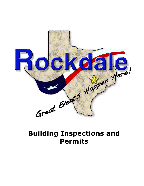

# **Building Inspections and Permits**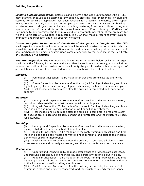## **Building Inspections**

*Existing building inspections.* Before issuing a permit, the Code Enforcement Official (CEO) may examine or cause to be examined any building, electrical, gas, mechanical, or plumbing systems for which an application has been received for a permit to enlarge, alter, repair, move, demolish, install, or change the occupancy or use. The CEO shall inspect all buildings, structures, electrical, gas, mechanical and plumbing systems, from time to time, during and upon completion of the work for which a permit was issued. Prior to issuing a Certificate of Occupancy to any premises, the CEO may conduct a thorough inspection of the premises for which a Certificate of Occupation is requested. The CEO shall make a record of every such examination and inspection and of all apparent violations.

*Inspections prior to issuance of Certificate of Occupancy or Completion***.** The CEO shall inspect or cause to be inspected at various intervals all construction or work for which a permit is required, and a final inspection shall be made of every building, structure, electrical, gas, mechanical or plumbing system upon completion, prior to the issuance of the Certificate of Occupancy or Completion.

**Required inspection.** The CEO upon notification from the permit holder or his or her agent shall make the following inspections and such other inspections as necessary, and shall either release that portion of the construction or shall notify the permit holder or his or her agent of any violations which must be corrected in order to comply with the technical codes.

## *Building.*

(i.) Foundation Inspection: To be made after trenches are excavated and forms erected.

(ii.) Frame Inspection: To be made after the roof, all framing, fireblocking and bracing is in place, all concealed wiring, all pipes, chimneys, ducts and vents are complete. (iii.) Final Inspection: To be made after the building is completed and ready for occupancy.

## *Electrical.*

(i.) Underground Inspection: To be made after trenches or ditches are excavated, conduit or cable installed, and before any backfill is put in place.

(ii.) Rough-In Inspection: To be made after the roof, framing, fireblocking and bracing is in place and prior to the installation of wall or ceiling membranes.

(iii.) Final Inspection: To be made after the building is complete, all required electrical fixtures are in place and properly connected or protected and the structure is ready for occupancy.

## *Plumbing.*

(i) Underground Inspection: To be made after trenches or ditches are excavated, piping installed and before any backfill is put in place.

(ii.) Rough-In Inspection: To be made after the roof, framing, fireblocking and bracing is in place and all soil, waste and vent piping is complete, and prior to this installation of wall or ceiling membranes.

(iii.) Final Inspection: To be made after the building is complete, all plumbing fixtures are in place and properly connected, and the structure is ready for occupancy.

## *Mechanical.*

(i.) Underground Inspection: To be made after trenches or ditches are excavated, underground duct and fuel piping installed, and before any backfill is put in place.

(ii.) Rough-In Inspection: To be made after the roof, framing, fireblocking and bracing is in place and all ducting and other concealed components are complete, and prior to this installation of wall or ceiling membranes.

(iii.) Final Inspection: To be made after the building is complete, the mechanical system is in place and properly connected, and the structure is ready for occupancy.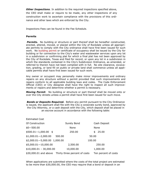**Other Inspections**. In addition to the required inspections specified above, the CEO shall make or require to be made, any other inspections of any construction work to ascertain compliance with the provisions of this ordinance and other laws which are enforced by the City.

Inspections Fees can be found in the Fee Schedule.

#### **Permits**

**Permits.** No building or structure or part thereof shall be hereafter constructed, erected, altered, moved, or placed within the City of Rockdale unless all appropriate permits to comply with the City ordinance shall have first been issued for such work. No building permit or certificate of occupancy shall be issued by the City for building or for connection to the City's water and wastewater services upon any lot in a subdivision or confirming plat for which a final plat has not been approved by the City of Rockdale, Texas and filed for record, or upon any lot in a subdivision in which the standards contained in the City's Subdivision Ordinance, as amended, or referred to therein have not been complied with in full. No site clearance, excavation, grading, or land fill on public or private land shall commence unless all applicable permits shall have first been issued for such work.

Any owner or occupant may personally make minor improvements and ordinary repairs on any structure without a permit provided that such improvements and repairs conform to all applicable building laws and codes. The Code Enforcement Official (CEO) or City designee shall have the right to inspect all such improvements or repairs and determine whether a permit is necessary.

*Moving Permit*. No building or structure or part thereof shall be moved onto or over the City streets unless a permit shall have first been issued for such move.

*Bonds or Deposits Required***.** Before any permit pursuant to the City Ordinance is issued, the applicant shall file with the City a corporate surety bond, approved by the City Attorney, or a cash deposit with the City, which deposit shall be placed in an escrow account in accordance with the following table:

| <b>Estimated Cost</b>                               |             |                      |
|-----------------------------------------------------|-------------|----------------------|
| Of Construction                                     | Surety Bond | Cash Deposit         |
| $$0 - 500.00$                                       | None        | None                 |
| $$500.01 - 1,000.00$ \$                             | 250.00      | 25.00<br>\$          |
| $$1,000.01 - 2,000.00$<br>500.00                    |             | 50.00                |
| $$2,000.01 - 5,000.00 1,000.00$                     | 100.00      |                      |
| $$5,000.01 - 10,000.00$                             | 2,500.00    | 250.00               |
| $$10,000.01 - 30,000.00$                            | 10,000.00   | 1,000.00             |
| \$30,000.01 and above Thirty three percent of costs |             | Ten percent of costs |

When applications are submitted where the costs of the total project are estimated to be more than \$30,000.00, the CEO may require that a bond or deposit in an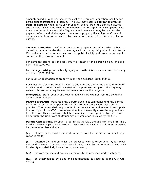amount, based on a percentage of the cost of the project in question, shall be tendered prior to issuance of a permit. The CEO may require **a larger or smaller bond or deposit** when, in his or her opinion, the nature of the permit indicates such a need. Such bond shall be conditioned upon the applicant's compliance with this and other ordinances of the City, and shall secure and may be used for the payment of any and all damages to persons or property (including the City) which damages arise from, or are caused by, any act or conduct of, or authorized by applicant.

**Insurance Required.** Before a construction project is started for which a bond or deposit is required under this ordinance, each person applying shall furnish to the City, evidence that he or she has procured public liability and property damage insurance in the following amounts:

For damages arising out of bodily injury or death of one person on any one accident - \$100,000.00.

For damages arising out of bodily injury or death of two or more persons in any accident - \$300,000.00.

For injury or destruction of property in any one accident - \$100,000.00.

Such insurance shall be kept in full force and effective during the period of time for which a bond or deposit shall be issued or the premises occupied. The City may waiver this insurance requirement for minor construction projects.

*Exemption***.** State, County and Federal agencies are exempt from the bond and deposit requirements

**Posting of permit**. Work requiring a permit shall not commence until the permit holder or his or her agent posts the permit card in a conspicuous place on the premises. The permit shall be protected from the weather and located in such position as to permit the CEO or representative to conveniently make the required entries thereon. This permit card shall be maintained in such position by the permit holder until the Certificate of Occupancy or Completion is issued by the CEO.

**Permit Applications.** To obtain a permit at the City, the applicant shall first file a building permit application in writing. Each such application shall be accompanied by the required fee and shall:

(i.) Identify and describe the work to be covered by the permit for which application is made;

(ii.) Describe the land on which the proposed work is to be done, by lot, block, tract and house or structure and street address, or similar description that will readily identify and definitely locate the proposed work;

(iii.) Indicate the use and occupancy for which the proposed work is intended;

(iv.) Be accompanied by plans and specifications as required in the City Ordinance;